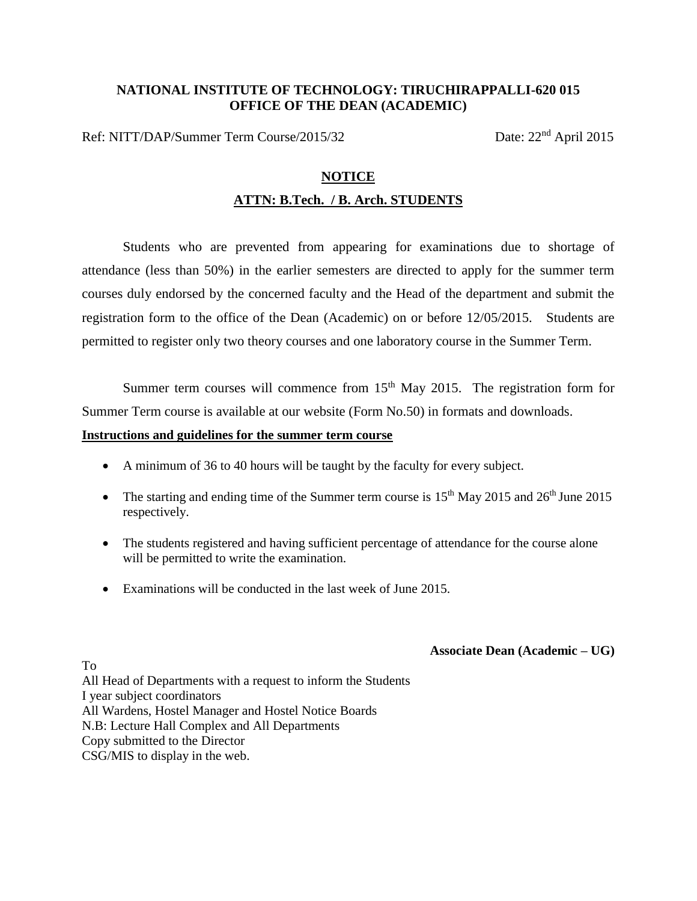# **NATIONAL INSTITUTE OF TECHNOLOGY: TIRUCHIRAPPALLI-620 015 OFFICE OF THE DEAN (ACADEMIC)**

Ref: NITT/DAP/Summer Term Course/2015/32 Date: 22<sup>nd</sup> April 2015

#### **NOTICE**

# **ATTN: B.Tech. / B. Arch. STUDENTS**

Students who are prevented from appearing for examinations due to shortage of attendance (less than 50%) in the earlier semesters are directed to apply for the summer term courses duly endorsed by the concerned faculty and the Head of the department and submit the registration form to the office of the Dean (Academic) on or before 12/05/2015. Students are permitted to register only two theory courses and one laboratory course in the Summer Term.

Summer term courses will commence from  $15<sup>th</sup>$  May 2015. The registration form for Summer Term course is available at our website (Form No.50) in formats and downloads.

#### **Instructions and guidelines for the summer term course**

- A minimum of 36 to 40 hours will be taught by the faculty for every subject.
- The starting and ending time of the Summer term course is  $15<sup>th</sup>$  May 2015 and  $26<sup>th</sup>$  June 2015 respectively.
- The students registered and having sufficient percentage of attendance for the course alone will be permitted to write the examination.
- Examinations will be conducted in the last week of June 2015.

### **Associate Dean (Academic – UG)**

All Head of Departments with a request to inform the Students I year subject coordinators All Wardens, Hostel Manager and Hostel Notice Boards N.B: Lecture Hall Complex and All Departments Copy submitted to the Director CSG/MIS to display in the web.

To